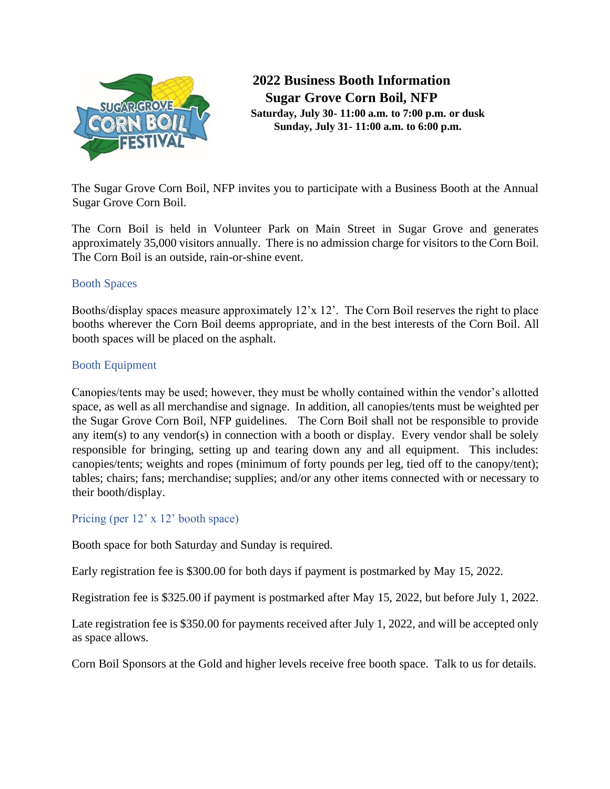

**2022 Business Booth Information Sugar Grove Corn Boil, NFP Saturday, July 30- 11:00 a.m. to 7:00 p.m. or dusk Sunday, July 31- 11:00 a.m. to 6:00 p.m.**

The Sugar Grove Corn Boil, NFP invites you to participate with a Business Booth at the Annual Sugar Grove Corn Boil.

The Corn Boil is held in Volunteer Park on Main Street in Sugar Grove and generates approximately 35,000 visitors annually. There is no admission charge for visitors to the Corn Boil. The Corn Boil is an outside, rain-or-shine event.

## Booth Spaces

Booths/display spaces measure approximately 12'x 12'. The Corn Boil reserves the right to place booths wherever the Corn Boil deems appropriate, and in the best interests of the Corn Boil. All booth spaces will be placed on the asphalt.

# Booth Equipment

Canopies/tents may be used; however, they must be wholly contained within the vendor's allotted space, as well as all merchandise and signage. In addition, all canopies/tents must be weighted per the Sugar Grove Corn Boil, NFP guidelines. The Corn Boil shall not be responsible to provide any item(s) to any vendor(s) in connection with a booth or display. Every vendor shall be solely responsible for bringing, setting up and tearing down any and all equipment. This includes: canopies/tents; weights and ropes (minimum of forty pounds per leg, tied off to the canopy/tent); tables; chairs; fans; merchandise; supplies; and/or any other items connected with or necessary to their booth/display.

## Pricing (per 12' x 12' booth space)

Booth space for both Saturday and Sunday is required.

Early registration fee is \$300.00 for both days if payment is postmarked by May 15, 2022.

Registration fee is \$325.00 if payment is postmarked after May 15, 2022, but before July 1, 2022.

Late registration fee is \$350.00 for payments received after July 1, 2022, and will be accepted only as space allows.

Corn Boil Sponsors at the Gold and higher levels receive free booth space. Talk to us for details.